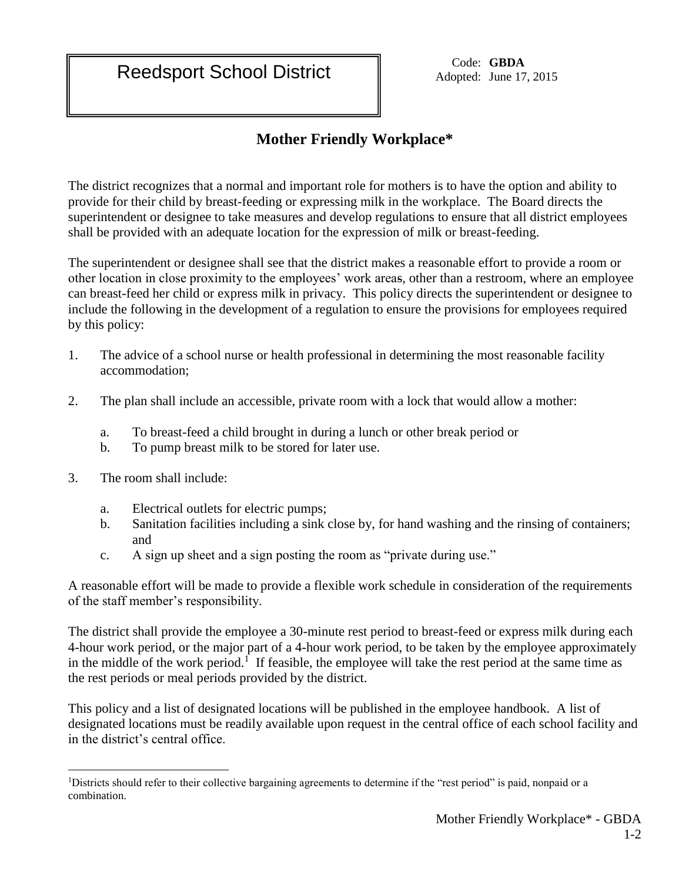Adopted: June 17, 2015

## **Mother Friendly Workplace\***

The district recognizes that a normal and important role for mothers is to have the option and ability to provide for their child by breast-feeding or expressing milk in the workplace. The Board directs the superintendent or designee to take measures and develop regulations to ensure that all district employees shall be provided with an adequate location for the expression of milk or breast-feeding.

The superintendent or designee shall see that the district makes a reasonable effort to provide a room or other location in close proximity to the employees' work areas, other than a restroom, where an employee can breast-feed her child or express milk in privacy. This policy directs the superintendent or designee to include the following in the development of a regulation to ensure the provisions for employees required by this policy:

- 1. The advice of a school nurse or health professional in determining the most reasonable facility accommodation;
- 2. The plan shall include an accessible, private room with a lock that would allow a mother:
	- a. To breast-feed a child brought in during a lunch or other break period or
	- b. To pump breast milk to be stored for later use.
- 3. The room shall include:
	- a. Electrical outlets for electric pumps;
	- b. Sanitation facilities including a sink close by, for hand washing and the rinsing of containers; and
	- c. A sign up sheet and a sign posting the room as "private during use."

A reasonable effort will be made to provide a flexible work schedule in consideration of the requirements of the staff member's responsibility.

The district shall provide the employee a 30-minute rest period to breast-feed or express milk during each 4-hour work period, or the major part of a 4-hour work period, to be taken by the employee approximately in the middle of the work period.<sup>1</sup> If feasible, the employee will take the rest period at the same time as the rest periods or meal periods provided by the district.

This policy and a list of designated locations will be published in the employee handbook. A list of designated locations must be readily available upon request in the central office of each school facility and in the district's central office.

 $\overline{a}$ <sup>1</sup>Districts should refer to their collective bargaining agreements to determine if the "rest period" is paid, nonpaid or a combination.